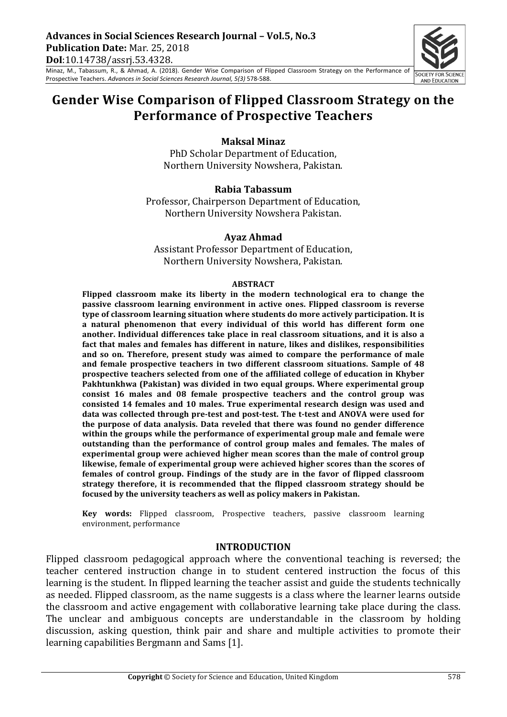Minaz, M., Tabassum, R., & Ahmad, A. (2018). Gender Wise Comparison of Flipped Classroom Strategy on the Performance of Prospective Teachers. Advances in Social Sciences Research Journal, 5(3) 578-588.

# Gender Wise Comparison of Flipped Classroom Strategy on the **Performance of Prospective Teachers**

#### **Maksal Minaz**

PhD Scholar Department of Education, Northern University Nowshera, Pakistan.

#### **Rabia Tabassum**

Professor, Chairperson Department of Education, Northern University Nowshera Pakistan.

#### **Ayaz Ahmad**

Assistant Professor Department of Education, Northern University Nowshera, Pakistan.

#### **ABSTRACT**

Flipped classroom make its liberty in the modern technological era to change the **passive classroom learning environment in active ones. Flipped classroom is reverse** type of classroom learning situation where students do more actively participation. It is a natural phenomenon that every individual of this world has different form one another. Individual differences take place in real classroom situations, and it is also a fact that males and females has different in nature, likes and dislikes, responsibilities and so on. Therefore, present study was aimed to compare the performance of male and female prospective teachers in two different classroom situations. Sample of 48 prospective teachers selected from one of the affiliated college of education in Khyber Pakhtunkhwa (Pakistan) was divided in two equal groups. Where experimental group consist 16 males and 08 female prospective teachers and the control group was consisted 14 females and 10 males. True experimental research design was used and data was collected through pre-test and post-test. The t-test and ANOVA were used for the purpose of data analysis. Data reveled that there was found no gender difference within the groups while the performance of experimental group male and female were outstanding than the performance of control group males and females. The males of experimental group were achieved higher mean scores than the male of control group likewise, female of experimental group were achieved higher scores than the scores of females of control group. Findings of the study are in the favor of flipped classroom strategy therefore, it is recommended that the flipped classroom strategy should be focused by the university teachers as well as policy makers in Pakistan.

**Key words:** Flipped classroom, Prospective teachers, passive classroom learning environment, performance

#### **INTRODUCTION**

Flipped classroom pedagogical approach where the conventional teaching is reversed; the teacher centered instruction change in to student centered instruction the focus of this learning is the student. In flipped learning the teacher assist and guide the students technically as needed. Flipped classroom, as the name suggests is a class where the learner learns outside the classroom and active engagement with collaborative learning take place during the class. The unclear and ambiguous concepts are understandable in the classroom by holding discussion, asking question, think pair and share and multiple activities to promote their learning capabilities Bergmann and Sams [1].

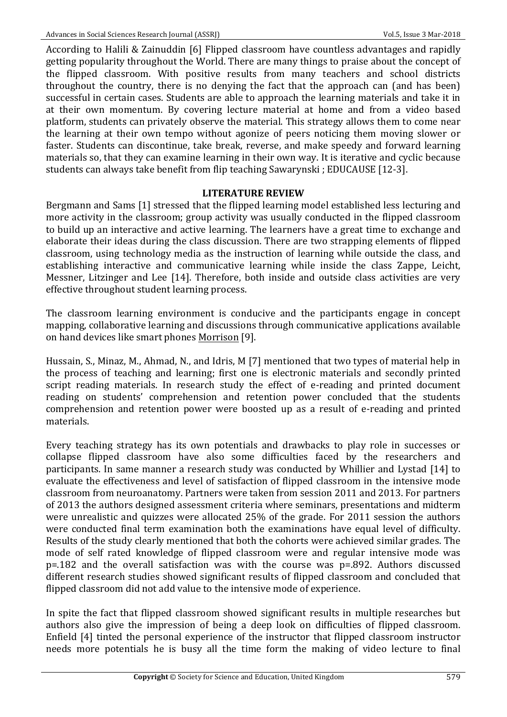According to Halili & Zainuddin [6] Flipped classroom have countless advantages and rapidly getting popularity throughout the World. There are many things to praise about the concept of the flipped classroom. With positive results from many teachers and school districts throughout the country, there is no denying the fact that the approach can (and has been) successful in certain cases. Students are able to approach the learning materials and take it in at their own momentum. By covering lecture material at home and from a video based platform, students can privately observe the material. This strategy allows them to come near the learning at their own tempo without agonize of peers noticing them moving slower or faster. Students can discontinue, take break, reverse, and make speedy and forward learning materials so, that they can examine learning in their own way. It is iterative and cyclic because students can always take benefit from flip teaching Sawarynski ; EDUCAUSE [12-3].

### **LITERATURE REVIEW**

Bergmann and Sams [1] stressed that the flipped learning model established less lecturing and more activity in the classroom; group activity was usually conducted in the flipped classroom to build up an interactive and active learning. The learners have a great time to exchange and elaborate their ideas during the class discussion. There are two strapping elements of flipped classroom, using technology media as the instruction of learning while outside the class, and establishing interactive and communicative learning while inside the class Zappe, Leicht, Messner, Litzinger and Lee [14]. Therefore, both inside and outside class activities are very effective throughout student learning process.

The classroom learning environment is conducive and the participants engage in concept mapping, collaborative learning and discussions through communicative applications available on hand devices like smart phones Morrison [9].

Hussain, S., Minaz, M., Ahmad, N., and Idris, M [7] mentioned that two types of material help in the process of teaching and learning; first one is electronic materials and secondly printed script reading materials. In research study the effect of e-reading and printed document reading on students' comprehension and retention power concluded that the students comprehension and retention power were boosted up as a result of e-reading and printed materials. 

Every teaching strategy has its own potentials and drawbacks to play role in successes or collapse flipped classroom have also some difficulties faced by the researchers and participants. In same manner a research study was conducted by Whillier and Lystad [14] to evaluate the effectiveness and level of satisfaction of flipped classroom in the intensive mode classroom from neuroanatomy. Partners were taken from session 2011 and 2013. For partners of 2013 the authors designed assessment criteria where seminars, presentations and midterm were unrealistic and quizzes were allocated 25% of the grade. For 2011 session the authors were conducted final term examination both the examinations have equal level of difficulty. Results of the study clearly mentioned that both the cohorts were achieved similar grades. The mode of self rated knowledge of flipped classroom were and regular intensive mode was p=.182 and the overall satisfaction was with the course was p=.892. Authors discussed different research studies showed significant results of flipped classroom and concluded that flipped classroom did not add value to the intensive mode of experience.

In spite the fact that flipped classroom showed significant results in multiple researches but authors also give the impression of being a deep look on difficulties of flipped classroom. Enfield [4] tinted the personal experience of the instructor that flipped classroom instructor needs more potentials he is busy all the time form the making of video lecture to final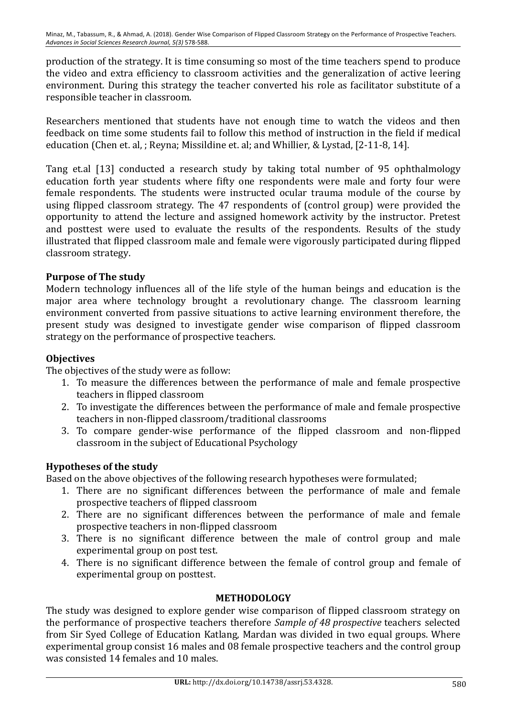production of the strategy. It is time consuming so most of the time teachers spend to produce the video and extra efficiency to classroom activities and the generalization of active leering environment. During this strategy the teacher converted his role as facilitator substitute of a responsible teacher in classroom.

Researchers mentioned that students have not enough time to watch the videos and then feedback on time some students fail to follow this method of instruction in the field if medical education (Chen et. al, ; Reyna; Missildine et. al; and Whillier, & Lystad, [2-11-8, 14].

Tang et.al [13] conducted a research study by taking total number of 95 ophthalmology education forth year students where fifty one respondents were male and forty four were female respondents. The students were instructed ocular trauma module of the course by using flipped classroom strategy. The 47 respondents of (control group) were provided the opportunity to attend the lecture and assigned homework activity by the instructor. Pretest and posttest were used to evaluate the results of the respondents. Results of the study illustrated that flipped classroom male and female were vigorously participated during flipped classroom strategy.

# **Purpose of The study**

Modern technology influences all of the life style of the human beings and education is the major area where technology brought a revolutionary change. The classroom learning environment converted from passive situations to active learning environment therefore, the present study was designed to investigate gender wise comparison of flipped classroom strategy on the performance of prospective teachers.

# **Objectives**

The objectives of the study were as follow:

- 1. To measure the differences between the performance of male and female prospective teachers in flipped classroom
- 2. To investigate the differences between the performance of male and female prospective teachers in non-flipped classroom/traditional classrooms
- 3. To compare gender-wise performance of the flipped classroom and non-flipped classroom in the subject of Educational Psychology

# **Hypotheses of the study**

Based on the above objectives of the following research hypotheses were formulated;

- 1. There are no significant differences between the performance of male and female prospective teachers of flipped classroom
- 2. There are no significant differences between the performance of male and female prospective teachers in non-flipped classroom
- 3. There is no significant difference between the male of control group and male experimental group on post test.
- 4. There is no significant difference between the female of control group and female of experimental group on posttest.

# **METHODOLOGY**

The study was designed to explore gender wise comparison of flipped classroom strategy on the performance of prospective teachers therefore *Sample of 48 prospective* teachers selected from Sir Syed College of Education Katlang, Mardan was divided in two equal groups. Where experimental group consist 16 males and 08 female prospective teachers and the control group was consisted 14 females and 10 males.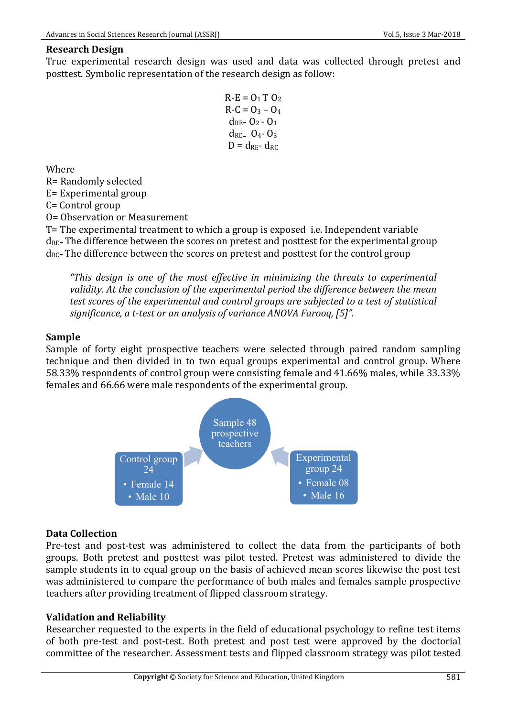### **Research Design**

True experimental research design was used and data was collected through pretest and posttest. Symbolic representation of the research design as follow:

```
R-E = 0_1 T 0_2R-C = Q_3 - Q_4d_{RE} = 0_2 - 0_1d_{RC} = 0_4 - 0_3D = d_{RF} - d_{RC}
```
Where

R= Randomly selected

E= Experimental group

C= Control group

O= Observation or Measurement

T= The experimental treatment to which a group is exposed i.e. Independent variable  $d_{RE}$ = The difference between the scores on pretest and posttest for the experimental group  $d_{RC}$ = The difference between the scores on pretest and posttest for the control group

*"This design is one of the most effective in minimizing the threats to experimental*  validity. At the conclusion of the experimental period the difference between the mean test scores of the experimental and control groups are subjected to a test of statistical significance, a t-test or an analysis of variance ANOVA Farooq, [5]".

### **Sample**

Sample of forty eight prospective teachers were selected through paired random sampling technique and then divided in to two equal groups experimental and control group. Where 58.33% respondents of control group were consisting female and 41.66% males, while 33.33% females and 66.66 were male respondents of the experimental group.



### **Data Collection**

Pre-test and post-test was administered to collect the data from the participants of both groups. Both pretest and posttest was pilot tested. Pretest was administered to divide the sample students in to equal group on the basis of achieved mean scores likewise the post test was administered to compare the performance of both males and females sample prospective teachers after providing treatment of flipped classroom strategy.

### **Validation and Reliability**

Researcher requested to the experts in the field of educational psychology to refine test items of both pre-test and post-test. Both pretest and post test were approved by the doctorial committee of the researcher. Assessment tests and flipped classroom strategy was pilot tested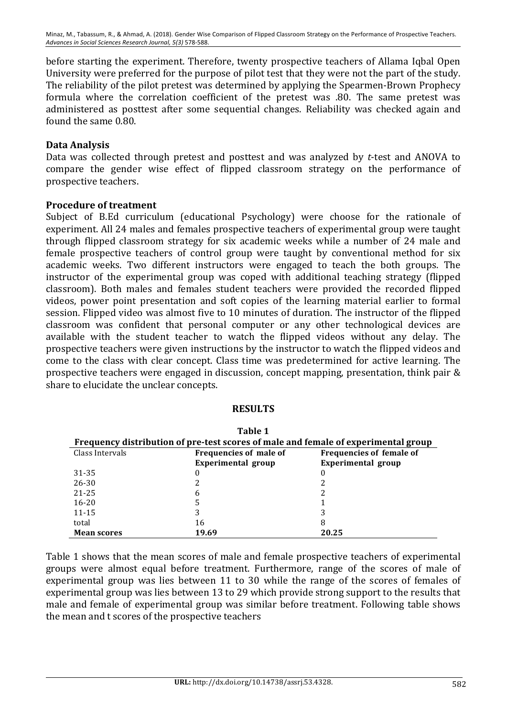Minaz, M., Tabassum, R., & Ahmad, A. (2018). Gender Wise Comparison of Flipped Classroom Strategy on the Performance of Prospective Teachers. Advances in Social Sciences Research Journal, 5(3) 578-588.

before starting the experiment. Therefore, twenty prospective teachers of Allama Iqbal Open University were preferred for the purpose of pilot test that they were not the part of the study. The reliability of the pilot pretest was determined by applying the Spearmen-Brown Prophecy formula where the correlation coefficient of the pretest was .80. The same pretest was administered as posttest after some sequential changes. Reliability was checked again and found the same 0.80.

#### **Data Analysis**

Data was collected through pretest and posttest and was analyzed by *t*-test and ANOVA to compare the gender wise effect of flipped classroom strategy on the performance of prospective teachers.

#### **Procedure of treatment**

Subject of B.Ed curriculum (educational Psychology) were choose for the rationale of experiment. All 24 males and females prospective teachers of experimental group were taught through flipped classroom strategy for six academic weeks while a number of 24 male and female prospective teachers of control group were taught by conventional method for six academic weeks. Two different instructors were engaged to teach the both groups. The instructor of the experimental group was coped with additional teaching strategy (flipped classroom). Both males and females student teachers were provided the recorded flipped videos, power point presentation and soft copies of the learning material earlier to formal session. Flipped video was almost five to 10 minutes of duration. The instructor of the flipped classroom was confident that personal computer or any other technological devices are available with the student teacher to watch the flipped videos without any delay. The prospective teachers were given instructions by the instructor to watch the flipped videos and come to the class with clear concept. Class time was predetermined for active learning. The prospective teachers were engaged in discussion, concept mapping, presentation, think pair & share to elucidate the unclear concepts.

#### **RESULTS**

| Table 1                                                                            |                        |                                 |  |  |  |  |
|------------------------------------------------------------------------------------|------------------------|---------------------------------|--|--|--|--|
| Frequency distribution of pre-test scores of male and female of experimental group |                        |                                 |  |  |  |  |
| Class Intervals                                                                    | Frequencies of male of | <b>Frequencies of female of</b> |  |  |  |  |
|                                                                                    | Experimental group     | Experimental group              |  |  |  |  |
| 31-35                                                                              | 0                      | 0                               |  |  |  |  |
| $26 - 30$                                                                          |                        |                                 |  |  |  |  |
| $21 - 25$                                                                          | 6                      |                                 |  |  |  |  |
| $16 - 20$                                                                          | 5                      |                                 |  |  |  |  |
| $11 - 15$                                                                          | 3                      |                                 |  |  |  |  |
| total                                                                              | 16                     | 8                               |  |  |  |  |
| <b>Mean scores</b>                                                                 | 19.69                  | 20.25                           |  |  |  |  |

Table 1 shows that the mean scores of male and female prospective teachers of experimental groups were almost equal before treatment. Furthermore, range of the scores of male of experimental group was lies between 11 to 30 while the range of the scores of females of experimental group was lies between 13 to 29 which provide strong support to the results that male and female of experimental group was similar before treatment. Following table shows the mean and t scores of the prospective teachers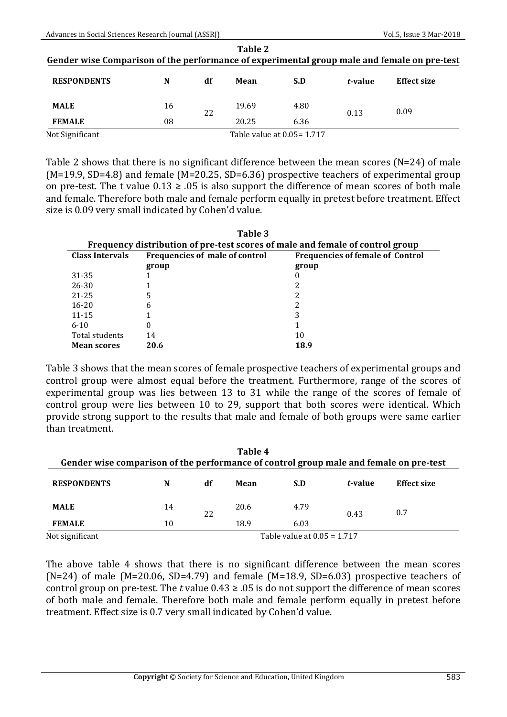| Table 2<br>Gender wise Comparison of the performance of experimental group male and female on pre-test |    |    |       |                             |         |                    |
|--------------------------------------------------------------------------------------------------------|----|----|-------|-----------------------------|---------|--------------------|
| <b>RESPONDENTS</b>                                                                                     | N  | df | Mean  | S.D                         | t-value | <b>Effect size</b> |
| <b>MALE</b>                                                                                            | 16 | 22 | 19.69 | 4.80                        | 0.13    | 0.09               |
| <b>FEMALE</b>                                                                                          | 08 |    | 20.25 | 6.36                        |         |                    |
| Not Significant                                                                                        |    |    |       | Table value at 0.05 = 1.717 |         |                    |

Table 2 shows that there is no significant difference between the mean scores ( $N=24$ ) of male  $(M=19.9, SD=4.8)$  and female  $(M=20.25, SD=6.36)$  prospective teachers of experimental group on pre-test. The t value  $0.13 \ge 0.05$  is also support the difference of mean scores of both male and female. Therefore both male and female perform equally in pretest before treatment. Effect size is 0.09 very small indicated by Cohen'd value.

| Table 3                |                                                                               |       |  |  |  |  |  |  |
|------------------------|-------------------------------------------------------------------------------|-------|--|--|--|--|--|--|
|                        | Frequency distribution of pre-test scores of male and female of control group |       |  |  |  |  |  |  |
| <b>Class Intervals</b> | Frequencies of male of control<br><b>Frequencies of female of Control</b>     |       |  |  |  |  |  |  |
|                        | group                                                                         | group |  |  |  |  |  |  |
| 31-35                  |                                                                               | 0     |  |  |  |  |  |  |
| 26-30                  |                                                                               |       |  |  |  |  |  |  |
| $21 - 25$              | 5                                                                             |       |  |  |  |  |  |  |
| $16 - 20$              | 6                                                                             |       |  |  |  |  |  |  |
| $11 - 15$              |                                                                               | 3     |  |  |  |  |  |  |
| $6 - 10$               | 0                                                                             |       |  |  |  |  |  |  |
| Total students         | 14                                                                            | 10    |  |  |  |  |  |  |
| <b>Mean scores</b>     | 20.6                                                                          | 18.9  |  |  |  |  |  |  |

Table 3 shows that the mean scores of female prospective teachers of experimental groups and control group were almost equal before the treatment. Furthermore, range of the scores of experimental group was lies between 13 to 31 while the range of the scores of female of control group were lies between 10 to 29, support that both scores were identical. Which provide strong support to the results that male and female of both groups were same earlier than treatment.

| Table 4<br>Gender wise comparison of the performance of control group male and female on pre-test |                               |    |      |      |         |                    |
|---------------------------------------------------------------------------------------------------|-------------------------------|----|------|------|---------|--------------------|
| <b>RESPONDENTS</b>                                                                                | N                             | df | Mean | S.D  | t-value | <b>Effect size</b> |
| <b>MALE</b>                                                                                       | 14                            | 22 | 20.6 | 4.79 | 0.43    | 0.7                |
| <b>FEMALE</b>                                                                                     | 10                            |    | 18.9 | 6.03 |         |                    |
| Not significant                                                                                   | Table value at $0.05 = 1.717$ |    |      |      |         |                    |

The above table 4 shows that there is no significant difference between the mean scores (N=24) of male (M=20.06, SD=4.79) and female (M=18.9, SD=6.03) prospective teachers of control group on pre-test. The *t* value  $0.43 \ge 0.05$  is do not support the difference of mean scores of both male and female. Therefore both male and female perform equally in pretest before treatment. Effect size is 0.7 very small indicated by Cohen'd value.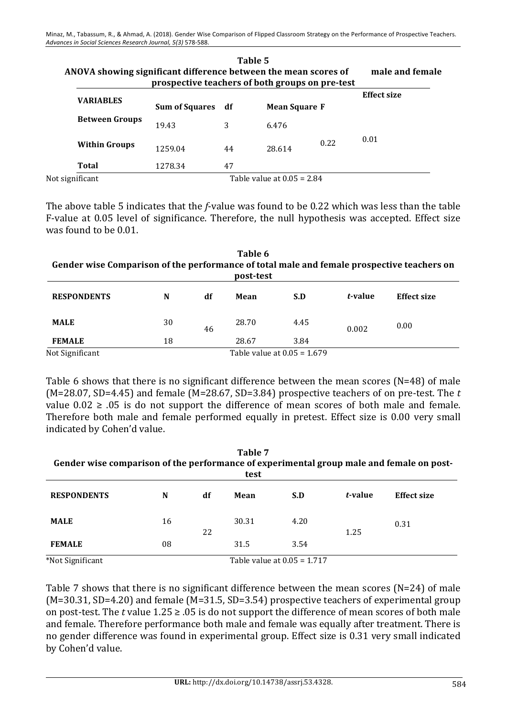|                 | ANOVA showing significant difference between the mean scores of | male and female<br>prospective teachers of both groups on pre-test |    |                              |      |                    |
|-----------------|-----------------------------------------------------------------|--------------------------------------------------------------------|----|------------------------------|------|--------------------|
|                 | <b>VARIABLES</b>                                                | Sum of Squares df                                                  |    | <b>Mean Square F</b>         |      | <b>Effect size</b> |
|                 | <b>Between Groups</b>                                           | 19.43                                                              | 3  | 6.476                        |      |                    |
|                 | <b>Within Groups</b>                                            | 1259.04                                                            | 44 | 28.614                       | 0.22 | 0.01               |
|                 | Total                                                           | 1278.34                                                            | 47 |                              |      |                    |
| Not significant |                                                                 |                                                                    |    | Table value at $0.05 = 2.84$ |      |                    |

**Table 5 ANOVA showing significant difference between the mean scores of male and female** 

The above table 5 indicates that the *f*-value was found to be 0.22 which was less than the table F-value at 0.05 level of significance. Therefore, the null hypothesis was accepted. Effect size was found to be 0.01.

| Table 6<br>Gender wise Comparison of the performance of total male and female prospective teachers on<br>post-test |    |    |       |                               |         |                    |
|--------------------------------------------------------------------------------------------------------------------|----|----|-------|-------------------------------|---------|--------------------|
| <b>RESPONDENTS</b>                                                                                                 | N  | df | Mean  | S.D                           | t-value | <b>Effect size</b> |
| <b>MALE</b>                                                                                                        | 30 | 46 | 28.70 | 4.45                          | 0.002   | 0.00               |
| <b>FEMALE</b>                                                                                                      | 18 |    | 28.67 | 3.84                          |         |                    |
| Not Significant                                                                                                    |    |    |       | Table value at $0.05 = 1.679$ |         |                    |

Table 6 shows that there is no significant difference between the mean scores  $(N=48)$  of male (M=28.07, SD=4.45) and female  $(M=28.67, SD=3.84)$  prospective teachers of on pre-test. The *t* value  $0.02 \geq 0.05$  is do not support the difference of mean scores of both male and female. Therefore both male and female performed equally in pretest. Effect size is 0.00 very small indicated by Cohen'd value.

| Table 7<br>Gender wise comparison of the performance of experimental group male and female on post-<br>test |    |    |       |                             |         |                    |
|-------------------------------------------------------------------------------------------------------------|----|----|-------|-----------------------------|---------|--------------------|
| <b>RESPONDENTS</b>                                                                                          | N  | df | Mean  | S.D                         | t-value | <b>Effect size</b> |
| <b>MALE</b>                                                                                                 | 16 | 22 | 30.31 | 4.20                        | 1.25    | 0.31               |
| <b>FEMALE</b>                                                                                               | 08 |    | 31.5  | 3.54                        |         |                    |
| *Not Significant                                                                                            |    |    |       | Table value at 0.05 = 1.717 |         |                    |

Table 7 shows that there is no significant difference between the mean scores ( $N=24$ ) of male  $(M=30.31, SD=4.20)$  and female  $(M=31.5, SD=3.54)$  prospective teachers of experimental group on post-test. The *t* value  $1.25 \ge 0.05$  is do not support the difference of mean scores of both male and female. Therefore performance both male and female was equally after treatment. There is no gender difference was found in experimental group. Effect size is 0.31 very small indicated by Cohen'd value.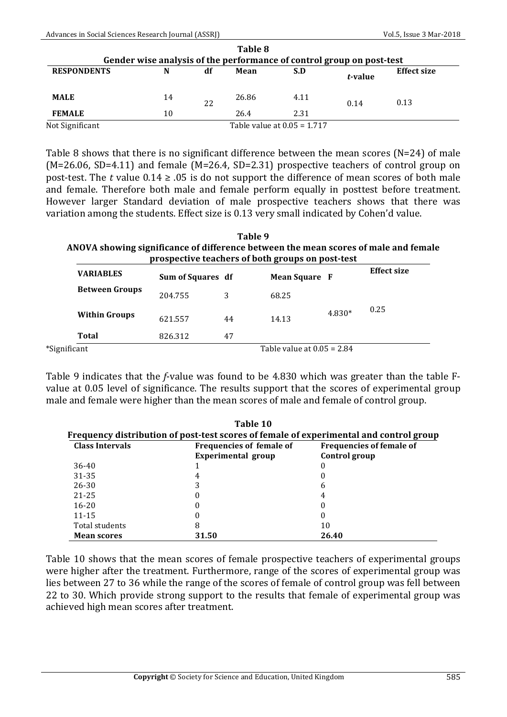|                    |                                                                       |    | Table 8 |                               |         |                    |  |
|--------------------|-----------------------------------------------------------------------|----|---------|-------------------------------|---------|--------------------|--|
|                    | Gender wise analysis of the performance of control group on post-test |    |         |                               |         |                    |  |
| <b>RESPONDENTS</b> | N                                                                     | df | Mean    | S.D                           | t-value | <b>Effect size</b> |  |
| <b>MALE</b>        | 14                                                                    | 22 | 26.86   | 4.11                          | 0.14    | 0.13               |  |
| <b>FEMALE</b>      | 10                                                                    |    | 26.4    | 2.31                          |         |                    |  |
| Not Significant    |                                                                       |    |         | Table value at $0.05 = 1.717$ |         |                    |  |

Table 8 shows that there is no significant difference between the mean scores ( $N=24$ ) of male  $(M=26.06, SD=4.11)$  and female  $(M=26.4, SD=2.31)$  prospective teachers of control group on post-test. The *t* value  $0.14 \ge .05$  is do not support the difference of mean scores of both male and female. Therefore both male and female perform equally in posttest before treatment. However larger Standard deviation of male prospective teachers shows that there was variation among the students. Effect size is 0.13 very small indicated by Cohen'd value.

#### **Table 9** ANOVA showing significance of difference between the mean scores of male and female **prospective teachers of both groups on post-test**

| <b>VARIABLES</b>      | Sum of Squares df |    | <b>Mean Square F</b>         |        | <b>Effect size</b> |
|-----------------------|-------------------|----|------------------------------|--------|--------------------|
| <b>Between Groups</b> | 204.755           | 3  | 68.25                        |        |                    |
| <b>Within Groups</b>  | 621.557           | 44 | 14.13                        | 4.830* | 0.25               |
| Total                 | 826.312           | 47 |                              |        |                    |
| *Significant          |                   |    | Table value at $0.05 = 2.84$ |        |                    |

Table 9 indicates that the *f*-value was found to be 4.830 which was greater than the table Fvalue at 0.05 level of significance. The results support that the scores of experimental group male and female were higher than the mean scores of male and female of control group.

| <b>Class Intervals</b> | <b>Frequencies of female of</b> | <b>Frequencies of female of</b> |
|------------------------|---------------------------------|---------------------------------|
|                        | Experimental group              | <b>Control group</b>            |
| 36-40                  |                                 |                                 |
| 31-35                  | 4                               |                                 |
| 26-30                  | 3                               | b                               |
| 21-25                  | 0                               |                                 |
| $16 - 20$              | 0                               |                                 |
| $11 - 15$              | 0                               |                                 |
| Total students         | 8                               | 10                              |
| <b>Mean scores</b>     | 31.50                           | 26.40                           |

Table 10 shows that the mean scores of female prospective teachers of experimental groups were higher after the treatment. Furthermore, range of the scores of experimental group was lies between 27 to 36 while the range of the scores of female of control group was fell between 22 to 30. Which provide strong support to the results that female of experimental group was achieved high mean scores after treatment.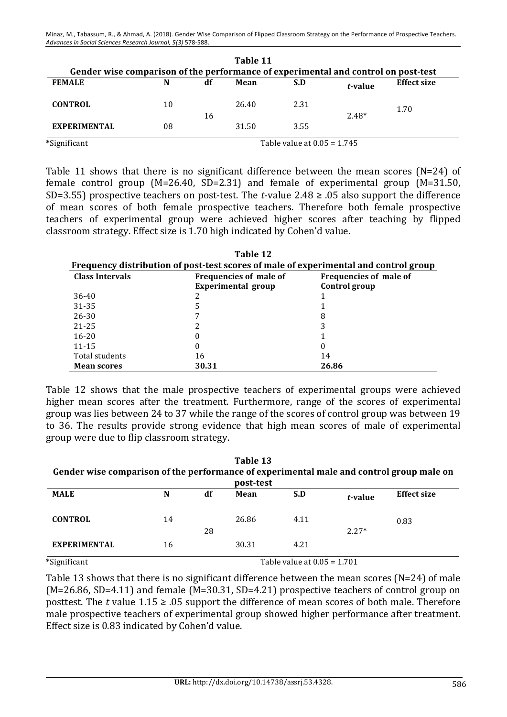|                                                                                    |                               |    | Table 11 |      |         |                    |
|------------------------------------------------------------------------------------|-------------------------------|----|----------|------|---------|--------------------|
| Gender wise comparison of the performance of experimental and control on post-test |                               |    |          |      |         |                    |
| <b>FEMALE</b>                                                                      | N                             | df | Mean     | S.D  | t-value | <b>Effect size</b> |
| <b>CONTROL</b>                                                                     | 10                            |    | 26.40    | 2.31 |         | 1.70               |
|                                                                                    |                               | 16 |          |      | $2.48*$ |                    |
| <b>EXPERIMENTAL</b>                                                                | 08                            |    | 31.50    | 3.55 |         |                    |
| *Significant                                                                       | Table value at $0.05 = 1.745$ |    |          |      |         |                    |

Table 11 shows that there is no significant difference between the mean scores  $(N=24)$  of female control group  $(M=26.40, SD=2.31)$  and female of experimental group  $(M=31.50, D=2.31)$ SD=3.55) prospective teachers on post-test. The *t*-value  $2.48 \ge .05$  also support the difference of mean scores of both female prospective teachers. Therefore both female prospective teachers of experimental group were achieved higher scores after teaching by flipped classroom strategy. Effect size is 1.70 high indicated by Cohen'd value.

| Table 12                                                                             |                               |               |  |  |  |  |
|--------------------------------------------------------------------------------------|-------------------------------|---------------|--|--|--|--|
| Frequency distribution of post-test scores of male of experimental and control group |                               |               |  |  |  |  |
| <b>Class Intervals</b>                                                               | <b>Frequencies of male of</b> |               |  |  |  |  |
|                                                                                      | Experimental group            | Control group |  |  |  |  |
| 36-40                                                                                |                               |               |  |  |  |  |
| 31-35                                                                                |                               |               |  |  |  |  |
| 26-30                                                                                |                               | 8             |  |  |  |  |
| 21-25                                                                                |                               |               |  |  |  |  |
| $16 - 20$                                                                            |                               |               |  |  |  |  |
| $11 - 15$                                                                            | 0                             |               |  |  |  |  |
| Total students                                                                       | 16                            | 14            |  |  |  |  |
| <b>Mean scores</b>                                                                   | 30.31                         | 26.86         |  |  |  |  |

Table 12 shows that the male prospective teachers of experimental groups were achieved higher mean scores after the treatment. Furthermore, range of the scores of experimental group was lies between 24 to 37 while the range of the scores of control group was between 19 to 36. The results provide strong evidence that high mean scores of male of experimental group were due to flip classroom strategy.

| Table 13<br>Gender wise comparison of the performance of experimental male and control group male on<br>post-test |                               |    |       |      |         |      |
|-------------------------------------------------------------------------------------------------------------------|-------------------------------|----|-------|------|---------|------|
|                                                                                                                   |                               |    |       |      |         |      |
| <b>CONTROL</b>                                                                                                    | 14                            |    | 26.86 | 4.11 |         | 0.83 |
|                                                                                                                   |                               | 28 |       |      | $2.27*$ |      |
| <b>EXPERIMENTAL</b>                                                                                               | 16                            |    | 30.31 | 4.21 |         |      |
| *Significant                                                                                                      | Table value at $0.05 = 1.701$ |    |       |      |         |      |

Table 13 shows that there is no significant difference between the mean scores (N=24) of male  $(M=26.86, SD=4.11)$  and female  $(M=30.31, SD=4.21)$  prospective teachers of control group on posttest. The *t* value  $1.15 \ge 0.05$  support the difference of mean scores of both male. Therefore male prospective teachers of experimental group showed higher performance after treatment. Effect size is 0.83 indicated by Cohen'd value.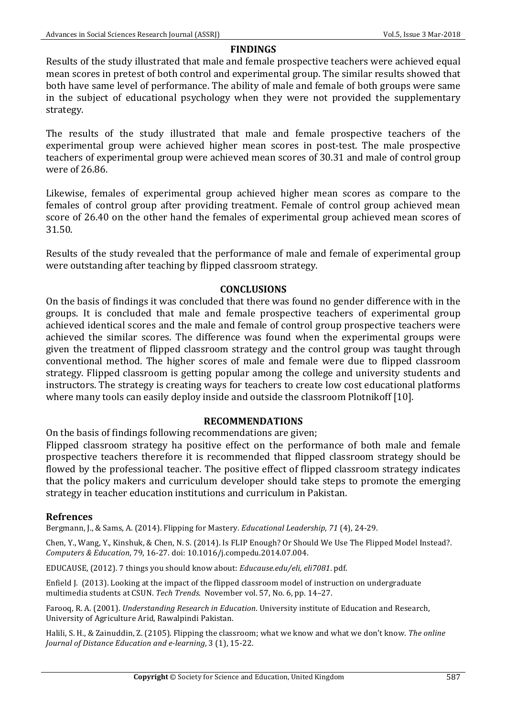### **FINDINGS**

Results of the study illustrated that male and female prospective teachers were achieved equal mean scores in pretest of both control and experimental group. The similar results showed that both have same level of performance. The ability of male and female of both groups were same in the subject of educational psychology when they were not provided the supplementary strategy. 

The results of the study illustrated that male and female prospective teachers of the experimental group were achieved higher mean scores in post-test. The male prospective teachers of experimental group were achieved mean scores of 30.31 and male of control group were of 26.86.

Likewise, females of experimental group achieved higher mean scores as compare to the females of control group after providing treatment. Female of control group achieved mean score of 26.40 on the other hand the females of experimental group achieved mean scores of 31.50.

Results of the study revealed that the performance of male and female of experimental group were outstanding after teaching by flipped classroom strategy.

### **CONCLUSIONS**

On the basis of findings it was concluded that there was found no gender difference with in the groups. It is concluded that male and female prospective teachers of experimental group achieved identical scores and the male and female of control group prospective teachers were achieved the similar scores. The difference was found when the experimental groups were given the treatment of flipped classroom strategy and the control group was taught through conventional method. The higher scores of male and female were due to flipped classroom strategy. Flipped classroom is getting popular among the college and university students and instructors. The strategy is creating ways for teachers to create low cost educational platforms where many tools can easily deploy inside and outside the classroom Plotnikoff [10].

### **RECOMMENDATIONS**

On the basis of findings following recommendations are given;

Flipped classroom strategy ha positive effect on the performance of both male and female prospective teachers therefore it is recommended that flipped classroom strategy should be flowed by the professional teacher. The positive effect of flipped classroom strategy indicates that the policy makers and curriculum developer should take steps to promote the emerging strategy in teacher education institutions and curriculum in Pakistan.

### **Refrences**

Bergmann, J., & Sams, A. (2014). Flipping for Mastery. *Educational Leadership*, 71 (4), 24-29.

Chen, Y., Wang, Y., Kinshuk, & Chen, N. S. (2014). Is FLIP Enough? Or Should We Use The Flipped Model Instead?. *Computers & Education*, 79, 16-27. doi: 10.1016/j.compedu.2014.07.004.

EDUCAUSE, (2012). 7 things you should know about: *Educause.edu/eli, eli7081*. pdf.

Enfield J. (2013). Looking at the impact of the flipped classroom model of instruction on undergraduate multimedia students at CSUN. *Tech Trends*. November vol. 57, No. 6, pp. 14–27.

Farooq, R. A. (2001). *Understanding Research in Education*. University institute of Education and Research, University of Agriculture Arid, Rawalpindi Pakistan.

Halili, S. H., & Zainuddin, Z. (2105). Flipping the classroom; what we know and what we don't know. The *online Journal of Distance Education and e-learning*, 3 (1), 15-22.